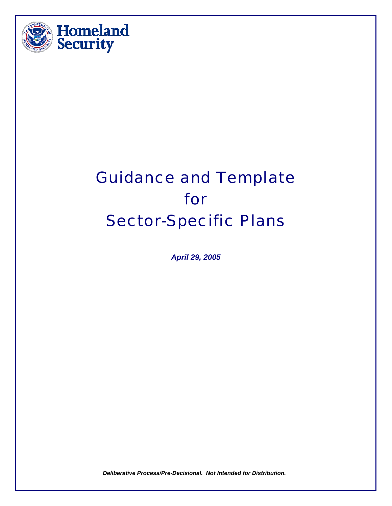

# Guidance and Template for Sector-Specific Plans

*April 29, 2005* 

*Deliberative Process/Pre-Decisional. Not Intended for Distribution.*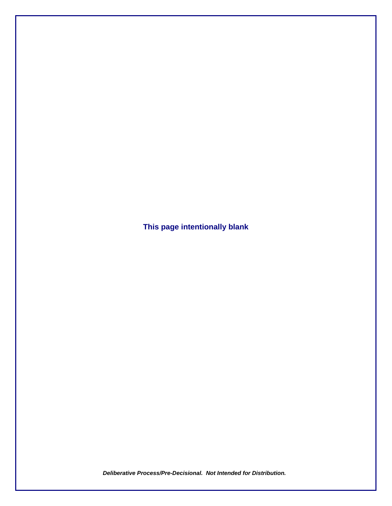**This page intentionally blank**

*Deliberative Process/Pre-Decisional. Not Intended for Distribution.*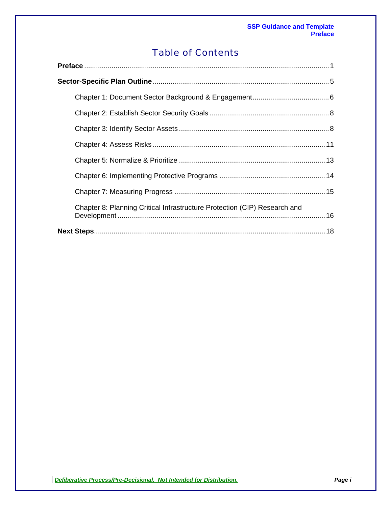# Table of Contents

| Chapter 8: Planning Critical Infrastructure Protection (CIP) Research and |  |
|---------------------------------------------------------------------------|--|
|                                                                           |  |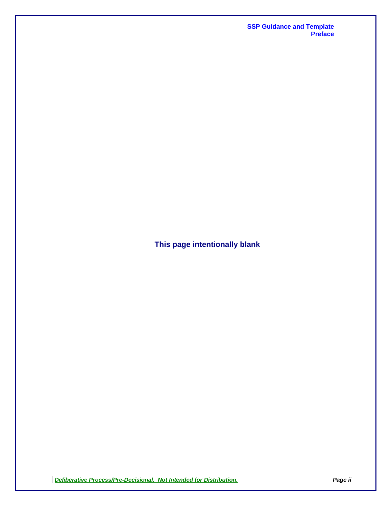#### **SSP Guidance and Template Preface**

**This page intentionally blank**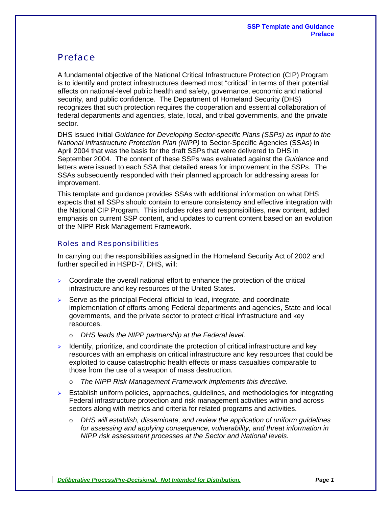# **Preface**

A fundamental objective of the National Critical Infrastructure Protection (CIP) Program is to identify and protect infrastructures deemed most "critical" in terms of their potential affects on national-level public health and safety, governance, economic and national security, and public confidence. The Department of Homeland Security (DHS) recognizes that such protection requires the cooperation and essential collaboration of federal departments and agencies, state, local, and tribal governments, and the private sector.

DHS issued initial *Guidance for Developing Sector-specific Plans (SSPs) as Input to the National Infrastructure Protection Plan (NIPP)* to Sector-Specific Agencies (SSAs) in April 2004 that was the basis for the draft SSPs that were delivered to DHS in September 2004. The content of these SSPs was evaluated against the *Guidance* and letters were issued to each SSA that detailed areas for improvement in the SSPs. The SSAs subsequently responded with their planned approach for addressing areas for improvement.

This template and guidance provides SSAs with additional information on what DHS expects that all SSPs should contain to ensure consistency and effective integration with the National CIP Program. This includes roles and responsibilities, new content, added emphasis on current SSP content, and updates to current content based on an evolution of the NIPP Risk Management Framework.

# Roles and Responsibilities

In carrying out the responsibilities assigned in the Homeland Security Act of 2002 and further specified in HSPD-7, DHS, will:

- $\triangleright$  Coordinate the overall national effort to enhance the protection of the critical infrastructure and key resources of the United States.
- $\triangleright$  Serve as the principal Federal official to lead, integrate, and coordinate implementation of efforts among Federal departments and agencies, State and local governments, and the private sector to protect critical infrastructure and key resources.
	- o *DHS leads the NIPP partnership at the Federal level.*
- $\triangleright$  Identify, prioritize, and coordinate the protection of critical infrastructure and key resources with an emphasis on critical infrastructure and key resources that could be exploited to cause catastrophic health effects or mass casualties comparable to those from the use of a weapon of mass destruction.
	- o *The NIPP Risk Management Framework implements this directive.*
- $\triangleright$  Establish uniform policies, approaches, quidelines, and methodologies for integrating Federal infrastructure protection and risk management activities within and across sectors along with metrics and criteria for related programs and activities.
	- o *DHS will establish, disseminate, and review the application of uniform guidelines for assessing and applying consequence, vulnerability, and threat information in NIPP risk assessment processes at the Sector and National levels.*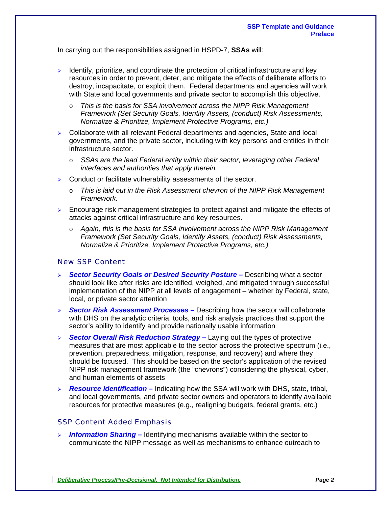In carrying out the responsibilities assigned in HSPD-7, **SSAs** will:

- $\blacktriangleright$  Identify, prioritize, and coordinate the protection of critical infrastructure and key resources in order to prevent, deter, and mitigate the effects of deliberate efforts to destroy, incapacitate, or exploit them. Federal departments and agencies will work with State and local governments and private sector to accomplish this objective.
	- o *This is the basis for SSA involvement across the NIPP Risk Management Framework (Set Security Goals, Identify Assets, (conduct) Risk Assessments, Normalize & Prioritize, Implement Protective Programs, etc.)*
- $\triangleright$  Collaborate with all relevant Federal departments and agencies, State and local governments, and the private sector, including with key persons and entities in their infrastructure sector.
	- SSAs are the lead Federal entity within their sector, leveraging other Federal *interfaces and authorities that apply therein.*
- $\triangleright$  Conduct or facilitate vulnerability assessments of the sector.
	- o *This is laid out in the Risk Assessment chevron of the NIPP Risk Management Framework.*
- $\triangleright$  Encourage risk management strategies to protect against and mitigate the effects of attacks against critical infrastructure and key resources.
	- o *Again, this is the basis for SSA involvement across the NIPP Risk Management Framework (Set Security Goals, Identify Assets, (conduct) Risk Assessments, Normalize & Prioritize, Implement Protective Programs, etc.)*

#### New SSP Content

- ¾ *Sector Security Goals or Desired Security Posture –* Describing what a sector should look like after risks are identified, weighed, and mitigated through successful implementation of the NIPP at all levels of engagement – whether by Federal, state, local, or private sector attention
- ¾ *Sector Risk Assessment Processes –* Describing how the sector will collaborate with DHS on the analytic criteria, tools, and risk analysis practices that support the sector's ability to identify and provide nationally usable information
- ¾ *Sector Overall Risk Reduction Strategy –* Laying out the types of protective measures that are most applicable to the sector across the protective spectrum (i.e., prevention, preparedness, mitigation, response, and recovery) and where they should be focused. This should be based on the sector's application of the revised NIPP risk management framework (the "chevrons") considering the physical, cyber, and human elements of assets
- ¾ *Resource Identification –* Indicating how the SSA will work with DHS, state, tribal, and local governments, and private sector owners and operators to identify available resources for protective measures (e.g., realigning budgets, federal grants, etc.)

#### SSP Content Added Emphasis

¾ *Information Sharing –* Identifying mechanisms available within the sector to communicate the NIPP message as well as mechanisms to enhance outreach to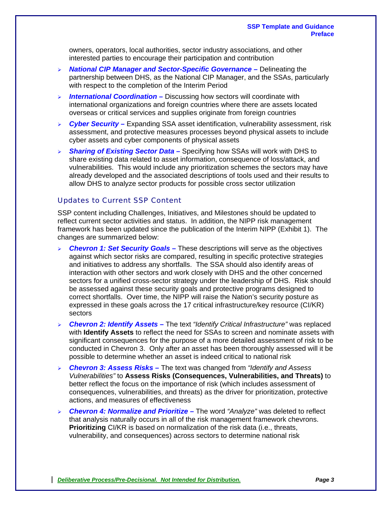owners, operators, local authorities, sector industry associations, and other interested parties to encourage their participation and contribution

- ¾ *National CIP Manager and Sector-Specific Governance* Delineating the partnership between DHS, as the National CIP Manager, and the SSAs, particularly with respect to the completion of the Interim Period
- ¾ *International Coordination* Discussing how sectors will coordinate with international organizations and foreign countries where there are assets located overseas or critical services and supplies originate from foreign countries
- ¾ *Cyber Security* Expanding SSA asset identification, vulnerability assessment, risk assessment, and protective measures processes beyond physical assets to include cyber assets and cyber components of physical assets
- ¾ *Sharing of Existing Sector Data* Specifying how SSAs will work with DHS to share existing data related to asset information, consequence of loss/attack, and vulnerabilities. This would include any prioritization schemes the sectors may have already developed and the associated descriptions of tools used and their results to allow DHS to analyze sector products for possible cross sector utilization

#### Updates to Current SSP Content

SSP content including Challenges, Initiatives, and Milestones should be updated to reflect current sector activities and status. In addition, the NIPP risk management framework has been updated since the publication of the Interim NIPP (Exhibit 1). The changes are summarized below:

- ¾ *Chevron 1: Set Security Goals –* These descriptions will serve as the objectives against which sector risks are compared, resulting in specific protective strategies and initiatives to address any shortfalls. The SSA should also identify areas of interaction with other sectors and work closely with DHS and the other concerned sectors for a unified cross-sector strategy under the leadership of DHS. Risk should be assessed against these security goals and protective programs designed to correct shortfalls. Over time, the NIPP will raise the Nation's security posture as expressed in these goals across the 17 critical infrastructure/key resource (CI/KR) sectors
- ¾ *Chevron 2: Identify Assets –* The text *"Identify Critical Infrastructure"* was replaced with **Identify Assets** to reflect the need for SSAs to screen and nominate assets with significant consequences for the purpose of a more detailed assessment of risk to be conducted in Chevron 3. Only after an asset has been thoroughly assessed will it be possible to determine whether an asset is indeed critical to national risk
- ¾ *Chevron 3: Assess Risks –* The text was changed from *"Identify and Assess Vulnerabilities"* to **Assess Risks (Consequences, Vulnerabilities, and Threats)** to better reflect the focus on the importance of risk (which includes assessment of consequences, vulnerabilities, and threats) as the driver for prioritization, protective actions, and measures of effectiveness
- ¾ *Chevron 4: Normalize and Prioritize –* The word *"Analyze"* was deleted to reflect that analysis naturally occurs in all of the risk management framework chevrons. **Prioritizing** CI/KR is based on normalization of the risk data (i.e., threats, vulnerability, and consequences) across sectors to determine national risk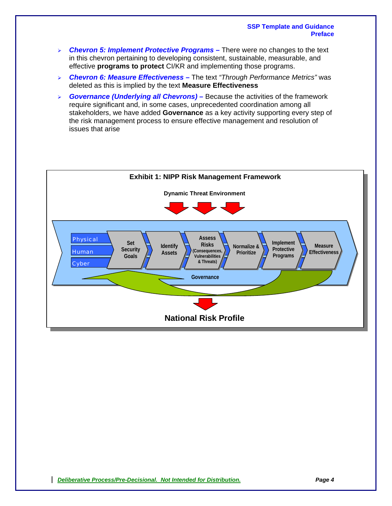#### **SSP Template and Guidance Preface**

- ¾ *Chevron 5: Implement Protective Programs –* There were no changes to the text in this chevron pertaining to developing consistent, sustainable, measurable, and effective **programs to protect** CI/KR and implementing those programs.
- ¾ *Chevron 6: Measure Effectiveness –* The text *"Through Performance Metrics"* was deleted as this is implied by the text **Measure Effectiveness**
- ¾ *Governance (Underlying all Chevrons) –* Because the activities of the framework require significant and, in some cases, unprecedented coordination among all stakeholders, we have added **Governance** as a key activity supporting every step of the risk management process to ensure effective management and resolution of issues that arise

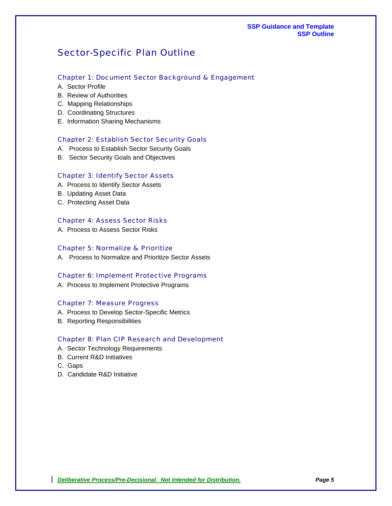# Sector-Specific Plan Outline

#### Chapter 1: Document Sector Background & Engagement

- A. Sector Profile
- B. Review of Authorities
- C. Mapping Relationships
- D. Coordinating Structures
- E. Information Sharing Mechanisms

#### Chapter 2: Establish Sector Security Goals

- A. Process to Establish Sector Security Goals
- B. Sector Security Goals and Objectives

#### Chapter 3: Identify Sector Assets

- A. Process to Identify Sector Assets
- B. Updating Asset Data
- C. Protecting Asset Data

#### Chapter 4: Assess Sector Risks

A. Process to Assess Sector Risks

#### Chapter 5: Normalize & Prioritize

A. Process to Normalize and Prioritize Sector Assets

#### Chapter 6: Implement Protective Programs

A. Process to Implement Protective Programs

#### Chapter 7: Measure Progress

- A. Process to Develop Sector-Specific Metrics
- B. Reporting Responsibilities

#### Chapter 8: Plan CIP Research and Development

- A. Sector Technology Requirements
- B. Current R&D Initiatives
- C. Gaps
- D. Candidate R&D Initiative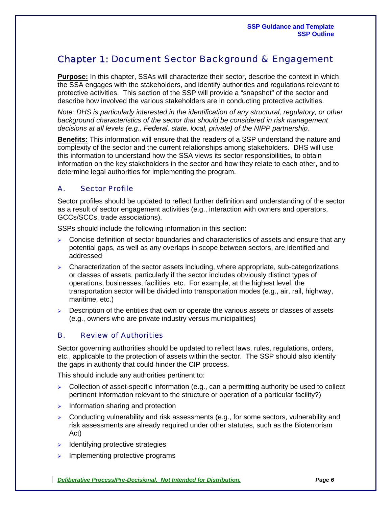# Chapter 1: Document Sector Background & Engagement

**Purpose:** In this chapter, SSAs will characterize their sector, describe the context in which the SSA engages with the stakeholders, and identify authorities and regulations relevant to protective activities. This section of the SSP will provide a "snapshot" of the sector and describe how involved the various stakeholders are in conducting protective activities.

*Note: DHS is particularly interested in the identification of any structural, regulatory, or other background characteristics of the sector that should be considered in risk management decisions at all levels (e.g., Federal, state, local, private) of the NIPP partnership.*

**Benefits:** This information will ensure that the readers of a SSP understand the nature and complexity of the sector and the current relationships among stakeholders. DHS will use this information to understand how the SSA views its sector responsibilities, to obtain information on the key stakeholders in the sector and how they relate to each other, and to determine legal authorities for implementing the program.

# A. Sector Profile

Sector profiles should be updated to reflect further definition and understanding of the sector as a result of sector engagement activities (e.g., interaction with owners and operators, GCCs/SCCs, trade associations).

SSPs should include the following information in this section:

- $\triangleright$  Concise definition of sector boundaries and characteristics of assets and ensure that any potential gaps, as well as any overlaps in scope between sectors, are identified and addressed
- $\triangleright$  Characterization of the sector assets including, where appropriate, sub-categorizations or classes of assets, particularly if the sector includes obviously distinct types of operations, businesses, facilities, etc. For example, at the highest level, the transportation sector will be divided into transportation modes (e.g., air, rail, highway, maritime, etc.)
- $\triangleright$  Description of the entities that own or operate the various assets or classes of assets (e.g., owners who are private industry versus municipalities)

## B. Review of Authorities

Sector governing authorities should be updated to reflect laws, rules, regulations, orders, etc., applicable to the protection of assets within the sector. The SSP should also identify the gaps in authority that could hinder the CIP process.

This should include any authorities pertinent to:

- $\triangleright$  Collection of asset-specific information (e.g., can a permitting authority be used to collect pertinent information relevant to the structure or operation of a particular facility?)
- $\blacktriangleright$  Information sharing and protection
- $\triangleright$  Conducting vulnerability and risk assessments (e.g., for some sectors, vulnerability and risk assessments are already required under other statutes, such as the Bioterrorism Act)
- $\blacktriangleright$  Identifying protective strategies
- $\triangleright$  Implementing protective programs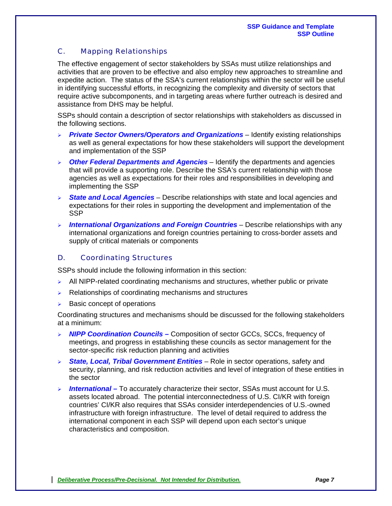# C. Mapping Relationships

The effective engagement of sector stakeholders by SSAs must utilize relationships and activities that are proven to be effective and also employ new approaches to streamline and expedite action. The status of the SSA's current relationships within the sector will be useful in identifying successful efforts, in recognizing the complexity and diversity of sectors that require active subcomponents, and in targeting areas where further outreach is desired and assistance from DHS may be helpful.

SSPs should contain a description of sector relationships with stakeholders as discussed in the following sections.

- ¾ *Private Sector Owners/Operators and Organizations* Identify existing relationships as well as general expectations for how these stakeholders will support the development and implementation of the SSP
- ¾ *Other Federal Departments and Agencies* Identify the departments and agencies that will provide a supporting role. Describe the SSA's current relationship with those agencies as well as expectations for their roles and responsibilities in developing and implementing the SSP
- ¾ *State and Local Agencies* Describe relationships with state and local agencies and expectations for their roles in supporting the development and implementation of the **SSP**
- ¾ *International Organizations and Foreign Countries* Describe relationships with any international organizations and foreign countries pertaining to cross-border assets and supply of critical materials or components

#### D. Coordinating Structures

SSPs should include the following information in this section:

- $\triangleright$  All NIPP-related coordinating mechanisms and structures, whether public or private
- $\triangleright$  Relationships of coordinating mechanisms and structures
- $\triangleright$  Basic concept of operations

Coordinating structures and mechanisms should be discussed for the following stakeholders at a minimum:

- ¾ *NIPP Coordination Councils* Composition of sector GCCs, SCCs, frequency of meetings, and progress in establishing these councils as sector management for the sector-specific risk reduction planning and activities
- ¾ *State, Local, Tribal Government Entities* Role in sector operations, safety and security, planning, and risk reduction activities and level of integration of these entities in the sector
- ¾ *International* To accurately characterize their sector, SSAs must account for U.S. assets located abroad. The potential interconnectedness of U.S. CI/KR with foreign countries' CI/KR also requires that SSAs consider interdependencies of U.S.-owned infrastructure with foreign infrastructure. The level of detail required to address the international component in each SSP will depend upon each sector's unique characteristics and composition.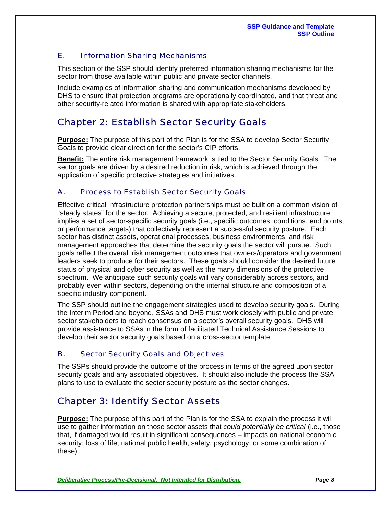# E. Information Sharing Mechanisms

This section of the SSP should identify preferred information sharing mechanisms for the sector from those available within public and private sector channels.

Include examples of information sharing and communication mechanisms developed by DHS to ensure that protection programs are operationally coordinated, and that threat and other security-related information is shared with appropriate stakeholders.

# Chapter 2: Establish Sector Security Goals

**Purpose:** The purpose of this part of the Plan is for the SSA to develop Sector Security Goals to provide clear direction for the sector's CIP efforts.

**Benefit:** The entire risk management framework is tied to the Sector Security Goals. The sector goals are driven by a desired reduction in risk, which is achieved through the application of specific protective strategies and initiatives.

# A. Process to Establish Sector Security Goals

Effective critical infrastructure protection partnerships must be built on a common vision of "steady states" for the sector. Achieving a secure, protected, and resilient infrastructure implies a set of sector-specific security goals (i.e., specific outcomes, conditions, end points, or performance targets) that collectively represent a successful security posture. Each sector has distinct assets, operational processes, business environments, and risk management approaches that determine the security goals the sector will pursue. Such goals reflect the overall risk management outcomes that owners/operators and government leaders seek to produce for their sectors. These goals should consider the desired future status of physical and cyber security as well as the many dimensions of the protective spectrum. We anticipate such security goals will vary considerably across sectors, and probably even within sectors, depending on the internal structure and composition of a specific industry component.

The SSP should outline the engagement strategies used to develop security goals. During the Interim Period and beyond, SSAs and DHS must work closely with public and private sector stakeholders to reach consensus on a sector's overall security goals. DHS will provide assistance to SSAs in the form of facilitated Technical Assistance Sessions to develop their sector security goals based on a cross-sector template.

## B. Sector Security Goals and Objectives

The SSPs should provide the outcome of the process in terms of the agreed upon sector security goals and any associated objectives. It should also include the process the SSA plans to use to evaluate the sector security posture as the sector changes.

# Chapter 3: Identify Sector Assets

**Purpose:** The purpose of this part of the Plan is for the SSA to explain the process it will use to gather information on those sector assets that *could potentially be critical* (i.e., those that, if damaged would result in significant consequences – impacts on national economic security; loss of life; national public health, safety, psychology; or some combination of these).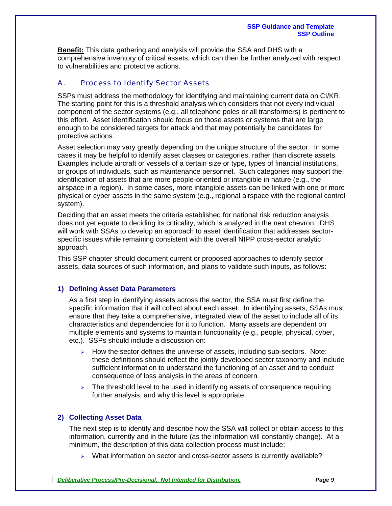**Benefit:** This data gathering and analysis will provide the SSA and DHS with a comprehensive inventory of critical assets, which can then be further analyzed with respect to vulnerabilities and protective actions.

# A. Process to Identify Sector Assets

SSPs must address the methodology for identifying and maintaining current data on CI/KR. The starting point for this is a threshold analysis which considers that not every individual component of the sector systems (e.g., all telephone poles or all transformers) is pertinent to this effort. Asset identification should focus on those assets or systems that are large enough to be considered targets for attack and that may potentially be candidates for protective actions.

Asset selection may vary greatly depending on the unique structure of the sector. In some cases it may be helpful to identify asset classes or categories, rather than discrete assets. Examples include aircraft or vessels of a certain size or type, types of financial institutions, or groups of individuals, such as maintenance personnel. Such categories may support the identification of assets that are more people-oriented or intangible in nature (e.g., the airspace in a region). In some cases, more intangible assets can be linked with one or more physical or cyber assets in the same system (e.g., regional airspace with the regional control system).

Deciding that an asset meets the criteria established for national risk reduction analysis does not yet equate to deciding its criticality, which is analyzed in the next chevron. DHS will work with SSAs to develop an approach to asset identification that addresses sectorspecific issues while remaining consistent with the overall NIPP cross-sector analytic approach.

This SSP chapter should document current or proposed approaches to identify sector assets, data sources of such information, and plans to validate such inputs, as follows:

## **1) Defining Asset Data Parameters**

As a first step in identifying assets across the sector, the SSA must first define the specific information that it will collect about each asset. In identifying assets, SSAs must ensure that they take a comprehensive, integrated view of the asset to include all of its characteristics and dependencies for it to function. Many assets are dependent on multiple elements and systems to maintain functionality (e.g., people, physical, cyber, etc.). SSPs should include a discussion on:

- $\triangleright$  How the sector defines the universe of assets, including sub-sectors. Note: these definitions should reflect the jointly developed sector taxonomy and include sufficient information to understand the functioning of an asset and to conduct consequence of loss analysis in the areas of concern
- $\triangleright$  The threshold level to be used in identifying assets of consequence requiring further analysis, and why this level is appropriate

## **2) Collecting Asset Data**

The next step is to identify and describe how the SSA will collect or obtain access to this information, currently and in the future (as the information will constantly change). At a minimum, the description of this data collection process must include:

What information on sector and cross-sector assets is currently available?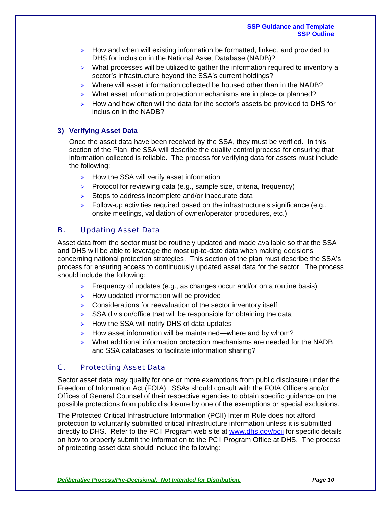- $\blacktriangleright$  How and when will existing information be formatted, linked, and provided to DHS for inclusion in the National Asset Database (NADB)?
- $\triangleright$  What processes will be utilized to gather the information required to inventory a sector's infrastructure beyond the SSA's current holdings?
- $\triangleright$  Where will asset information collected be housed other than in the NADB?
- What asset information protection mechanisms are in place or planned?
- $\triangleright$  How and how often will the data for the sector's assets be provided to DHS for inclusion in the NADB?

#### **3) Verifying Asset Data**

Once the asset data have been received by the SSA, they must be verified. In this section of the Plan, the SSA will describe the quality control process for ensuring that information collected is reliable. The process for verifying data for assets must include the following:

- $\triangleright$  How the SSA will verify asset information
- $\triangleright$  Protocol for reviewing data (e.g., sample size, criteria, frequency)
- $\triangleright$  Steps to address incomplete and/or inaccurate data
- $\triangleright$  Follow-up activities required based on the infrastructure's significance (e.g., onsite meetings, validation of owner/operator procedures, etc.)

## B. Updating Asset Data

Asset data from the sector must be routinely updated and made available so that the SSA and DHS will be able to leverage the most up-to-date data when making decisions concerning national protection strategies. This section of the plan must describe the SSA's process for ensuring access to continuously updated asset data for the sector. The process should include the following:

- $\triangleright$  Frequency of updates (e.g., as changes occur and/or on a routine basis)
- $\triangleright$  How updated information will be provided
- $\triangleright$  Considerations for reevaluation of the sector inventory itself
- $\triangleright$  SSA division/office that will be responsible for obtaining the data
- $\triangleright$  How the SSA will notify DHS of data updates
- $\triangleright$  How asset information will be maintained—where and by whom?
- $\triangleright$  What additional information protection mechanisms are needed for the NADB and SSA databases to facilitate information sharing?

## C. Protecting Asset Data

Sector asset data may qualify for one or more exemptions from public disclosure under the Freedom of Information Act (FOIA). SSAs should consult with the FOIA Officers and/or Offices of General Counsel of their respective agencies to obtain specific guidance on the possible protections from public disclosure by one of the exemptions or special exclusions.

The Protected Critical Infrastructure Information (PCII) Interim Rule does not afford protection to voluntarily submitted critical infrastructure information unless it is submitted directly to DHS. Refer to the PCII Program web site at www.dhs.gov/pcii for specific details on how to properly submit the information to the PCII Program Office at DHS. The process of protecting asset data should include the following: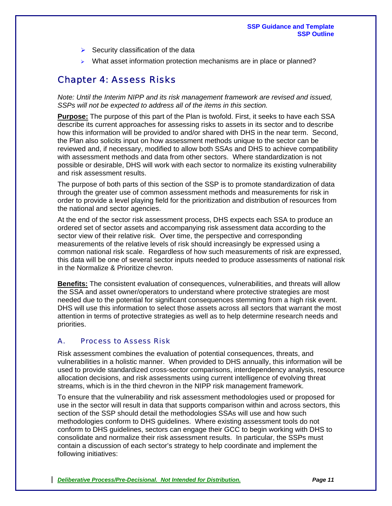- $\triangleright$  Security classification of the data
- $\triangleright$  What asset information protection mechanisms are in place or planned?

# Chapter 4: Assess Risks

*Note: Until the Interim NIPP and its risk management framework are revised and issued, SSPs will not be expected to address all of the items in this section.* 

**Purpose:** The purpose of this part of the Plan is twofold. First, it seeks to have each SSA describe its current approaches for assessing risks to assets in its sector and to describe how this information will be provided to and/or shared with DHS in the near term. Second, the Plan also solicits input on how assessment methods unique to the sector can be reviewed and, if necessary, modified to allow both SSAs and DHS to achieve compatibility with assessment methods and data from other sectors. Where standardization is not possible or desirable, DHS will work with each sector to normalize its existing vulnerability and risk assessment results.

The purpose of both parts of this section of the SSP is to promote standardization of data through the greater use of common assessment methods and measurements for risk in order to provide a level playing field for the prioritization and distribution of resources from the national and sector agencies.

At the end of the sector risk assessment process, DHS expects each SSA to produce an ordered set of sector assets and accompanying risk assessment data according to the sector view of their relative risk. Over time, the perspective and corresponding measurements of the relative levels of risk should increasingly be expressed using a common national risk scale. Regardless of how such measurements of risk are expressed, this data will be one of several sector inputs needed to produce assessments of national risk in the Normalize & Prioritize chevron.

**Benefits:** The consistent evaluation of consequences, vulnerabilities, and threats will allow the SSA and asset owner/operators to understand where protective strategies are most needed due to the potential for significant consequences stemming from a high risk event. DHS will use this information to select those assets across all sectors that warrant the most attention in terms of protective strategies as well as to help determine research needs and priorities.

## A. Process to Assess Risk

Risk assessment combines the evaluation of potential consequences, threats, and vulnerabilities in a holistic manner. When provided to DHS annually, this information will be used to provide standardized cross-sector comparisons, interdependency analysis, resource allocation decisions, and risk assessments using current intelligence of evolving threat streams, which is in the third chevron in the NIPP risk management framework.

To ensure that the vulnerability and risk assessment methodologies used or proposed for use in the sector will result in data that supports comparison within and across sectors, this section of the SSP should detail the methodologies SSAs will use and how such methodologies conform to DHS guidelines. Where existing assessment tools do not conform to DHS guidelines, sectors can engage their GCC to begin working with DHS to consolidate and normalize their risk assessment results. In particular, the SSPs must contain a discussion of each sector's strategy to help coordinate and implement the following initiatives: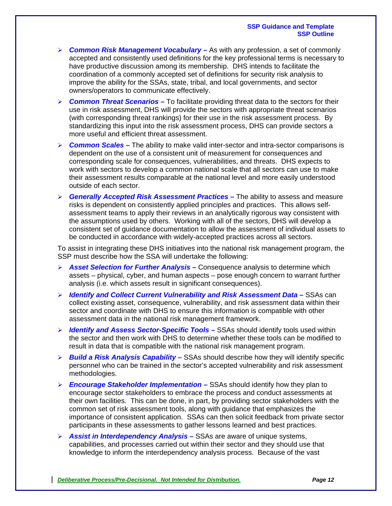- ¾ *Common Risk Management Vocabulary –* As with any profession, a set of commonly accepted and consistently used definitions for the key professional terms is necessary to have productive discussion among its membership. DHS intends to facilitate the coordination of a commonly accepted set of definitions for security risk analysis to improve the ability for the SSAs, state, tribal, and local governments, and sector owners/operators to communicate effectively.
- ¾ *Common Threat Scenarios –* To facilitate providing threat data to the sectors for their use in risk assessment, DHS will provide the sectors with appropriate threat scenarios (with corresponding threat rankings) for their use in the risk assessment process. By standardizing this input into the risk assessment process, DHS can provide sectors a more useful and efficient threat assessment.
- ¾ *Common Scales –* The ability to make valid inter-sector and intra-sector comparisons is dependent on the use of a consistent unit of measurement for consequences and corresponding scale for consequences, vulnerabilities, and threats. DHS expects to work with sectors to develop a common national scale that all sectors can use to make their assessment results comparable at the national level and more easily understood outside of each sector.
- ¾ *Generally Accepted Risk Assessment Practices –* The ability to assess and measure risks is dependent on consistently applied principles and practices. This allows selfassessment teams to apply their reviews in an analytically rigorous way consistent with the assumptions used by others. Working with all of the sectors, DHS will develop a consistent set of guidance documentation to allow the assessment of individual assets to be conducted in accordance with widely-accepted practices across all sectors.

To assist in integrating these DHS initiatives into the national risk management program, the SSP must describe how the SSA will undertake the following:

- ¾ *Asset Selection for Further Analysis* Consequence analysis to determine which assets – physical, cyber, and human aspects – pose enough concern to warrant further analysis (i.e. which assets result in significant consequences).
- ¾ *Identify and Collect Current Vulnerability and Risk Assessment Data* SSAs can collect existing asset, consequence, vulnerability, and risk assessment data within their sector and coordinate with DHS to ensure this information is compatible with other assessment data in the national risk management framework.
- ¾ *Identify and Assess Sector-Specific Tools –* SSAs should identify tools used within the sector and then work with DHS to determine whether these tools can be modified to result in data that is compatible with the national risk management program.
- ¾ *Build a Risk Analysis Capability* SSAs should describe how they will identify specific personnel who can be trained in the sector's accepted vulnerability and risk assessment methodologies.
- ¾ *Encourage Stakeholder Implementation* SSAs should identify how they plan to encourage sector stakeholders to embrace the process and conduct assessments at their own facilities. This can be done, in part, by providing sector stakeholders with the common set of risk assessment tools, along with guidance that emphasizes the importance of consistent application. SSAs can then solicit feedback from private sector participants in these assessments to gather lessons learned and best practices.
- ¾ *Assist in Interdependency Analysis* SSAs are aware of unique systems, capabilities, and processes carried out within their sector and they should use that knowledge to inform the interdependency analysis process. Because of the vast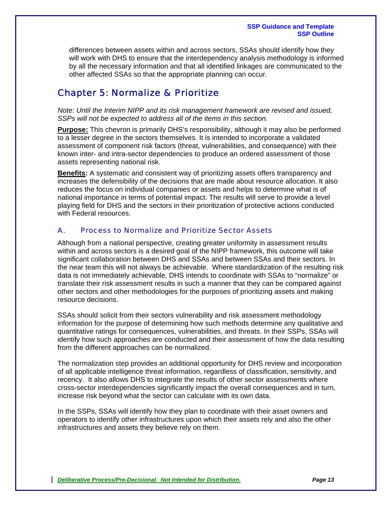differences between assets within and across sectors, SSAs should identify how they will work with DHS to ensure that the interdependency analysis methodology is informed by all the necessary information and that all identified linkages are communicated to the other affected SSAs so that the appropriate planning can occur.

# Chapter 5: Normalize & Prioritize

*Note: Until the Interim NIPP and its risk management framework are revised and issued, SSPs will not be expected to address all of the items in this section.* 

**Purpose:** This chevron is primarily DHS's responsibility, although it may also be performed to a lesser degree in the sectors themselves. It is intended to incorporate a validated assessment of component risk factors (threat, vulnerabilities, and consequence) with their known inter- and intra-sector dependencies to produce an ordered assessment of those assets representing national risk.

**Benefits:** A systematic and consistent way of prioritizing assets offers transparency and increases the defensibility of the decisions that are made about resource allocation. It also reduces the focus on individual companies or assets and helps to determine what is of national importance in terms of potential impact. The results will serve to provide a level playing field for DHS and the sectors in their prioritization of protective actions conducted with Federal resources.

#### A. Process to Normalize and Prioritize Sector Assets

Although from a national perspective, creating greater uniformity in assessment results within and across sectors is a desired goal of the NIPP framework, this outcome will take significant collaboration between DHS and SSAs and between SSAs and their sectors. In the near team this will not always be achievable. Where standardization of the resulting risk data is not immediately achievable, DHS intends to coordinate with SSAs to "normalize" or translate their risk assessment results in such a manner that they can be compared against other sectors and other methodologies for the purposes of prioritizing assets and making resource decisions.

SSAs should solicit from their sectors vulnerability and risk assessment methodology information for the purpose of determining how such methods determine any qualitative and quantitative ratings for consequences, vulnerabilities, and threats. In their SSPs, SSAs will identify how such approaches are conducted and their assessment of how the data resulting from the different approaches can be normalized.

The normalization step provides an additional opportunity for DHS review and incorporation of all applicable intelligence threat information, regardless of classification, sensitivity, and recency. It also allows DHS to integrate the results of other sector assessments where cross-sector interdependencies significantly impact the overall consequences and in turn, increase risk beyond what the sector can calculate with its own data.

In the SSPs, SSAs will identify how they plan to coordinate with their asset owners and operators to identify other infrastructures upon which their assets rely and also the other infrastructures and assets they believe rely on them.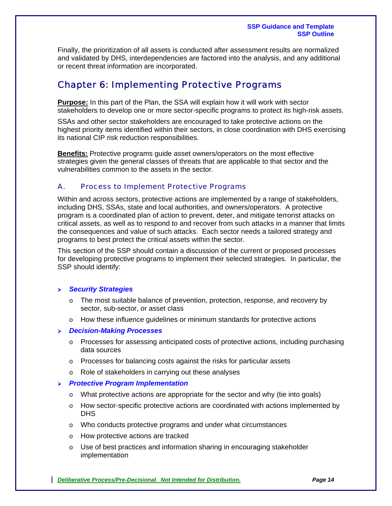Finally, the prioritization of all assets is conducted after assessment results are normalized and validated by DHS, interdependencies are factored into the analysis, and any additional or recent threat information are incorporated.

# Chapter 6: Implementing Protective Programs

**Purpose:** In this part of the Plan, the SSA will explain how it will work with sector stakeholders to develop one or more sector-specific programs to protect its high-risk assets.

SSAs and other sector stakeholders are encouraged to take protective actions on the highest priority items identified within their sectors, in close coordination with DHS exercising its national CIP risk reduction responsibilities.

**Benefits:** Protective programs guide asset owners/operators on the most effective strategies given the general classes of threats that are applicable to that sector and the vulnerabilities common to the assets in the sector.

## A. Process to Implement Protective Programs

Within and across sectors, protective actions are implemented by a range of stakeholders, including DHS, SSAs, state and local authorities, and owners/operators. A protective program is a coordinated plan of action to prevent, deter, and mitigate terrorist attacks on critical assets, as well as to respond to and recover from such attacks in a manner that limits the consequences and value of such attacks. Each sector needs a tailored strategy and programs to best protect the critical assets within the sector.

This section of the SSP should contain a discussion of the current or proposed processes for developing protective programs to implement their selected strategies. In particular, the SSP should identify:

#### ¾ *Security Strategies*

- $\circ$  The most suitable balance of prevention, protection, response, and recovery by sector, sub-sector, or asset class
- o How these influence guidelines or minimum standards for protective actions

#### ¾ *Decision-Making Processes*

- o Processes for assessing anticipated costs of protective actions, including purchasing data sources
- o Processes for balancing costs against the risks for particular assets
- o Role of stakeholders in carrying out these analyses

#### ¾ *Protective Program Implementation*

- $\circ$  What protective actions are appropriate for the sector and why (tie into goals)
- $\circ$  How sector-specific protective actions are coordinated with actions implemented by DHS
- o Who conducts protective programs and under what circumstances
- o How protective actions are tracked
- $\circ$  Use of best practices and information sharing in encouraging stakeholder implementation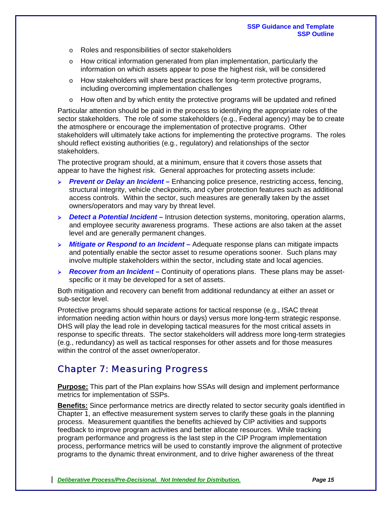#### **SSP Guidance and Template SSP Outline**

- o Roles and responsibilities of sector stakeholders
- $\circ$  How critical information generated from plan implementation, particularly the information on which assets appear to pose the highest risk, will be considered
- $\circ$  How stakeholders will share best practices for long-term protective programs, including overcoming implementation challenges
- $\circ$  How often and by which entity the protective programs will be updated and refined

Particular attention should be paid in the process to identifying the appropriate roles of the sector stakeholders. The role of some stakeholders (e.g., Federal agency) may be to create the atmosphere or encourage the implementation of protective programs. Other stakeholders will ultimately take actions for implementing the protective programs. The roles should reflect existing authorities (e.g., regulatory) and relationships of the sector stakeholders.

The protective program should, at a minimum, ensure that it covers those assets that appear to have the highest risk. General approaches for protecting assets include:

- ¾ *Prevent or Delay an Incident –* Enhancing police presence, restricting access, fencing, structural integrity, vehicle checkpoints, and cyber protection features such as additional access controls. Within the sector, such measures are generally taken by the asset owners/operators and may vary by threat level.
- ¾ *Detect a Potential Incident –* Intrusion detection systems, monitoring, operation alarms, and employee security awareness programs. These actions are also taken at the asset level and are generally permanent changes.
- ¾ *Mitigate or Respond to an Incident –* Adequate response plans can mitigate impacts and potentially enable the sector asset to resume operations sooner. Such plans may involve multiple stakeholders within the sector, including state and local agencies.
- ¾ *Recover from an Incident –* Continuity of operations plans. These plans may be assetspecific or it may be developed for a set of assets.

Both mitigation and recovery can benefit from additional redundancy at either an asset or sub-sector level.

Protective programs should separate actions for tactical response (e.g., ISAC threat information needing action within hours or days) versus more long-term strategic response. DHS will play the lead role in developing tactical measures for the most critical assets in response to specific threats. The sector stakeholders will address more long-term strategies (e.g., redundancy) as well as tactical responses for other assets and for those measures within the control of the asset owner/operator.

# Chapter 7: Measuring Progress

**Purpose:** This part of the Plan explains how SSAs will design and implement performance metrics for implementation of SSPs.

**Benefits:** Since performance metrics are directly related to sector security goals identified in Chapter 1, an effective measurement system serves to clarify these goals in the planning process. Measurement quantifies the benefits achieved by CIP activities and supports feedback to improve program activities and better allocate resources. While tracking program performance and progress is the last step in the CIP Program implementation process, performance metrics will be used to constantly improve the alignment of protective programs to the dynamic threat environment, and to drive higher awareness of the threat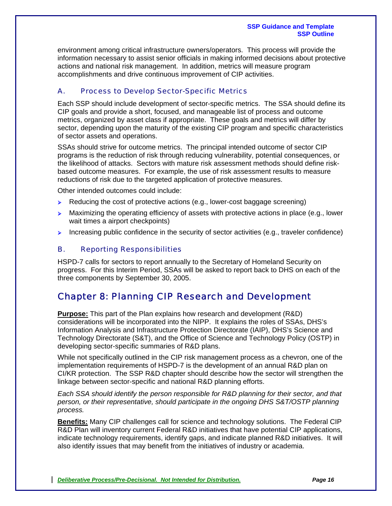environment among critical infrastructure owners/operators. This process will provide the information necessary to assist senior officials in making informed decisions about protective actions and national risk management. In addition, metrics will measure program accomplishments and drive continuous improvement of CIP activities.

# A. Process to Develop Sector-Specific Metrics

Each SSP should include development of sector-specific metrics. The SSA should define its CIP goals and provide a short, focused, and manageable list of process and outcome metrics, organized by asset class if appropriate. These goals and metrics will differ by sector, depending upon the maturity of the existing CIP program and specific characteristics of sector assets and operations.

SSAs should strive for outcome metrics. The principal intended outcome of sector CIP programs is the reduction of risk through reducing vulnerability, potential consequences, or the likelihood of attacks. Sectors with mature risk assessment methods should define riskbased outcome measures. For example, the use of risk assessment results to measure reductions of risk due to the targeted application of protective measures.

Other intended outcomes could include:

- $\triangleright$  Reducing the cost of protective actions (e.g., lower-cost baggage screening)
- $\triangleright$  Maximizing the operating efficiency of assets with protective actions in place (e.g., lower wait times a airport checkpoints)
- $\triangleright$  Increasing public confidence in the security of sector activities (e.g., traveler confidence)

## B. Reporting Responsibilities

HSPD-7 calls for sectors to report annually to the Secretary of Homeland Security on progress. For this Interim Period, SSAs will be asked to report back to DHS on each of the three components by September 30, 2005.

# Chapter 8: Planning CIP Research and Development

**Purpose:** This part of the Plan explains how research and development (R&D) considerations will be incorporated into the NIPP. It explains the roles of SSAs, DHS's Information Analysis and Infrastructure Protection Directorate (IAIP), DHS's Science and Technology Directorate (S&T), and the Office of Science and Technology Policy (OSTP) in developing sector-specific summaries of R&D plans.

While not specifically outlined in the CIP risk management process as a chevron, one of the implementation requirements of HSPD-7 is the development of an annual R&D plan on CI/KR protection. The SSP R&D chapter should describe how the sector will strengthen the linkage between sector-specific and national R&D planning efforts.

*Each SSA should identify the person responsible for R&D planning for their sector, and that person, or their representative, should participate in the ongoing DHS S&T/OSTP planning process.* 

**Benefits:** Many CIP challenges call for science and technology solutions. The Federal CIP R&D Plan will inventory current Federal R&D initiatives that have potential CIP applications, indicate technology requirements, identify gaps, and indicate planned R&D initiatives. It will also identify issues that may benefit from the initiatives of industry or academia.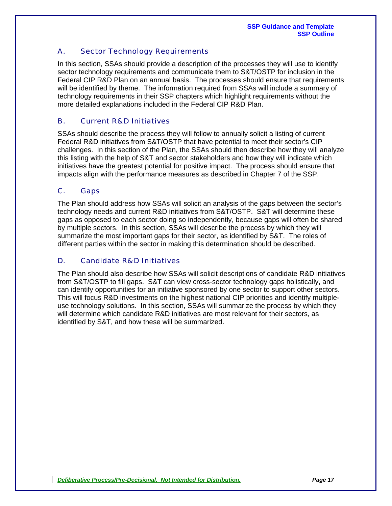# A. Sector Technology Requirements

In this section, SSAs should provide a description of the processes they will use to identify sector technology requirements and communicate them to S&T/OSTP for inclusion in the Federal CIP R&D Plan on an annual basis. The processes should ensure that requirements will be identified by theme. The information required from SSAs will include a summary of technology requirements in their SSP chapters which highlight requirements without the more detailed explanations included in the Federal CIP R&D Plan.

## B. Current R&D Initiatives

SSAs should describe the process they will follow to annually solicit a listing of current Federal R&D initiatives from S&T/OSTP that have potential to meet their sector's CIP challenges. In this section of the Plan, the SSAs should then describe how they will analyze this listing with the help of S&T and sector stakeholders and how they will indicate which initiatives have the greatest potential for positive impact. The process should ensure that impacts align with the performance measures as described in Chapter 7 of the SSP.

# C. Gaps

The Plan should address how SSAs will solicit an analysis of the gaps between the sector's technology needs and current R&D initiatives from S&T/OSTP. S&T will determine these gaps as opposed to each sector doing so independently, because gaps will often be shared by multiple sectors. In this section, SSAs will describe the process by which they will summarize the most important gaps for their sector, as identified by S&T. The roles of different parties within the sector in making this determination should be described.

## D. Candidate R&D Initiatives

The Plan should also describe how SSAs will solicit descriptions of candidate R&D initiatives from S&T/OSTP to fill gaps. S&T can view cross-sector technology gaps holistically, and can identify opportunities for an initiative sponsored by one sector to support other sectors. This will focus R&D investments on the highest national CIP priorities and identify multipleuse technology solutions. In this section, SSAs will summarize the process by which they will determine which candidate R&D initiatives are most relevant for their sectors, as identified by S&T, and how these will be summarized.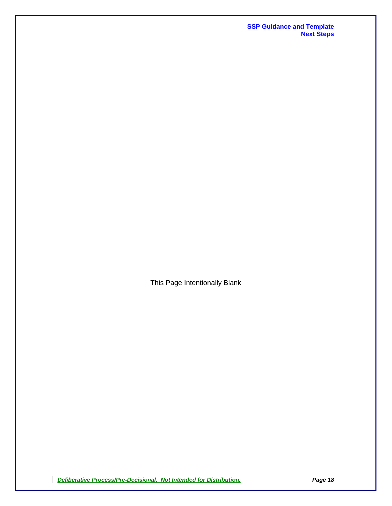#### **SSP Guidance and Template Next Steps**

This Page Intentionally Blank

**Deliberative Process/Pre-Decisional. Not Intended for Distribution.** Page 18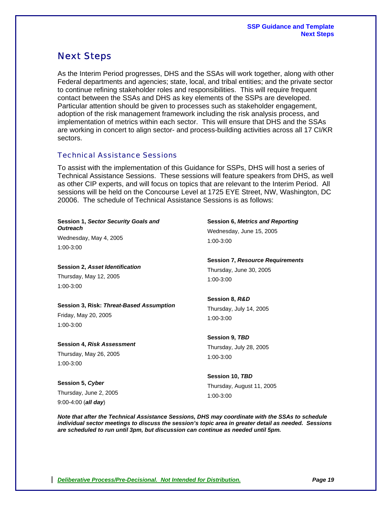# Next Steps

As the Interim Period progresses, DHS and the SSAs will work together, along with other Federal departments and agencies; state, local, and tribal entities; and the private sector to continue refining stakeholder roles and responsibilities. This will require frequent contact between the SSAs and DHS as key elements of the SSPs are developed. Particular attention should be given to processes such as stakeholder engagement, adoption of the risk management framework including the risk analysis process, and implementation of metrics within each sector. This will ensure that DHS and the SSAs are working in concert to align sector- and process-building activities across all 17 CI/KR sectors.

## Technical Assistance Sessions

To assist with the implementation of this Guidance for SSPs, DHS will host a series of Technical Assistance Sessions. These sessions will feature speakers from DHS, as well as other CIP experts, and will focus on topics that are relevant to the Interim Period. All sessions will be held on the Concourse Level at 1725 EYE Street, NW, Washington, DC 20006. The schedule of Technical Assistance Sessions is as follows:

**Session 1,** *Sector Security Goals and Outreach*  Wednesday, May 4, 2005

1:00-3:00

**Session 2,** *Asset Identification* Thursday, May 12, 2005 1:00-3:00

**Session 3, Risk:** *Threat-Based Assumption* Friday, May 20, 2005

1:00-3:00

**Session 4,** *Risk Assessment* Thursday, May 26, 2005 1:00-3:00

**Session 5,** *Cyber* Thursday, June 2, 2005 9:00-4:00 (*all day*)

**Session 6,** *Metrics and Reporting*  Wednesday, June 15, 2005

1:00-3:00

**Session 7,** *Resource Requirements* 

Thursday, June 30, 2005 1:00-3:00

**Session 8,** *R&D*  Thursday, July 14, 2005 1:00-3:00

**Session 9,** *TBD* Thursday, July 28, 2005 1:00-3:00

**Session 10,** *TBD* Thursday, August 11, 2005 1:00-3:00

*Note that after the Technical Assistance Sessions, DHS may coordinate with the SSAs to schedule individual sector meetings to discuss the session's topic area in greater detail as needed. Sessions are scheduled to run until 3pm, but discussion can continue as needed until 5pm.*